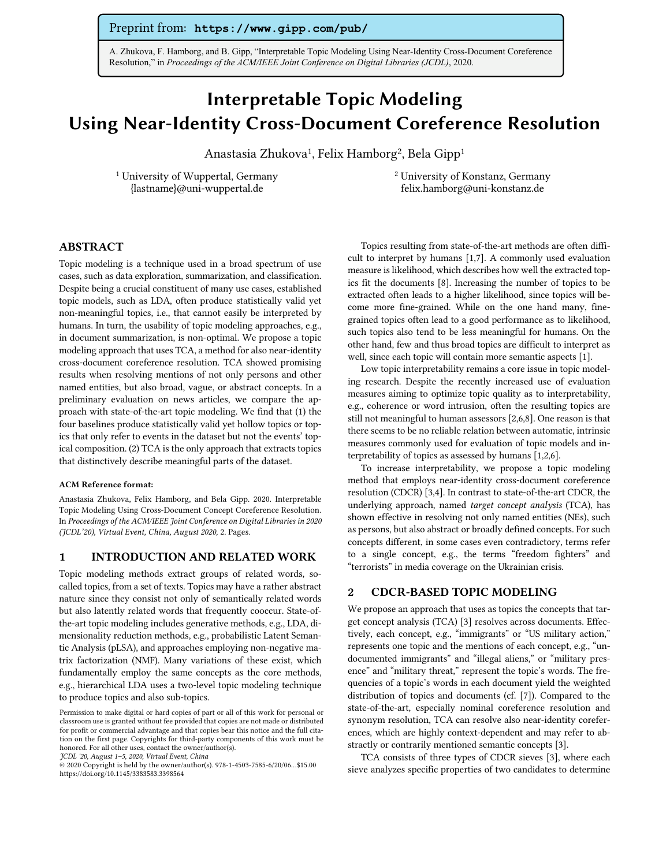# Preprint from: **https://www.gipp.com/pub/**

A. Zhukova, F. Hamborg, and B. Gipp, "Interpretable Topic Modeling Using Near-Identity Cross-Document Coreference Resolution," in *Proceedings of the ACM/IEEE Joint Conference on Digital Libraries (JCDL)*, 2020.

# Interpretable Topic Modeling Using Near-Identity Cross-Document Coreference Resolution

Anastasia Zhukova<sup>1</sup>, Felix Hamborg<sup>2</sup>, Bela Gipp<sup>1</sup>

<sup>1</sup> University of Wuppertal, Germany {lastname}@uni-wuppertal.de

<sup>2</sup> University of Konstanz, Germany felix.hamborg@uni-konstanz.de

# ABSTRACT

Topic modeling is a technique used in a broad spectrum of use cases, such as data exploration, summarization, and classification. Despite being a crucial constituent of many use cases, established topic models, such as LDA, often produce statistically valid yet non-meaningful topics, i.e., that cannot easily be interpreted by humans. In turn, the usability of topic modeling approaches, e.g., in document summarization, is non-optimal. We propose a topic modeling approach that uses TCA, a method for also near-identity cross-document coreference resolution. TCA showed promising results when resolving mentions of not only persons and other named entities, but also broad, vague, or abstract concepts. In a preliminary evaluation on news articles, we compare the approach with state-of-the-art topic modeling. We find that (1) the four baselines produce statistically valid yet hollow topics or topics that only refer to events in the dataset but not the events' topical composition. (2) TCA is the only approach that extracts topics that distinctively describe meaningful parts of the dataset.

#### ACM Reference format:

Anastasia Zhukova, Felix Hamborg, and Bela Gipp. 2020. Interpretable Topic Modeling Using Cross-Document Concept Coreference Resolution. In *Proceedings of the ACM/IEEE Joint Conference on Digital Libraries in 2020 (JCDL'20), Virtual Event, China, August 2020,* 2. Pages.

#### 1 INTRODUCTION AND RELATED WORK

Topic modeling methods extract groups of related words, socalled topics, from a set of texts. Topics may have a rather abstract nature since they consist not only of semantically related words but also latently related words that frequently cooccur. State-ofthe-art topic modeling includes generative methods, e.g., LDA, dimensionality reduction methods, e.g., probabilistic Latent Semantic Analysis (pLSA), and approaches employing non-negative matrix factorization (NMF). Many variations of these exist, which fundamentally employ the same concepts as the core methods, e.g., hierarchical LDA uses a two-level topic modeling technique to produce topics and also sub-topics.

Topics resulting from state-of-the-art methods are often difficult to interpret by humans [1,7]. A commonly used evaluation measure is likelihood, which describes how well the extracted topics fit the documents [8]. Increasing the number of topics to be extracted often leads to a higher likelihood, since topics will become more fine-grained. While on the one hand many, finegrained topics often lead to a good performance as to likelihood, such topics also tend to be less meaningful for humans. On the other hand, few and thus broad topics are difficult to interpret as well, since each topic will contain more semantic aspects [1].

Low topic interpretability remains a core issue in topic modeling research. Despite the recently increased use of evaluation measures aiming to optimize topic quality as to interpretability, e.g., coherence or word intrusion, often the resulting topics are still not meaningful to human assessors [2,6,8]. One reason is that there seems to be no reliable relation between automatic, intrinsic measures commonly used for evaluation of topic models and interpretability of topics as assessed by humans [1,2,6].

To increase interpretability, we propose a topic modeling method that employs near-identity cross-document coreference resolution (CDCR) [3,4]. In contrast to state-of-the-art CDCR, the underlying approach, named *target concept analysis* (TCA), has shown effective in resolving not only named entities (NEs), such as persons, but also abstract or broadly defined concepts. For such concepts different, in some cases even contradictory, terms refer to a single concept, e.g., the terms "freedom fighters" and "terrorists" in media coverage on the Ukrainian crisis.

## 2 CDCR-BASED TOPIC MODELING

We propose an approach that uses as topics the concepts that target concept analysis (TCA) [3] resolves across documents. Effectively, each concept, e.g., "immigrants" or "US military action," represents one topic and the mentions of each concept, e.g., "undocumented immigrants" and "illegal aliens," or "military presence" and "military threat," represent the topic's words. The frequencies of a topic's words in each document yield the weighted distribution of topics and documents (cf. [7]). Compared to the state-of-the-art, especially nominal coreference resolution and synonym resolution, TCA can resolve also near-identity coreferences, which are highly context-dependent and may refer to abstractly or contrarily mentioned semantic concepts [3].

TCA consists of three types of CDCR sieves [3], where each sieve analyzes specific properties of two candidates to determine

Permission to make digital or hard copies of part or all of this work for personal or classroom use is granted without fee provided that copies are not made or distributed for profit or commercial advantage and that copies bear this notice and the full citation on the first page. Copyrights for third-party components of this work must be honored. For all other uses, contact the owner/author(s).

*JCDL '20, August 1–5, 2020, Virtual Event, China*

<sup>© 2020</sup> Copyright is held by the owner/author(s). 978-1-4503-7585-6/20/06…\$15.00 https://doi.org/10.1145/3383583.3398564